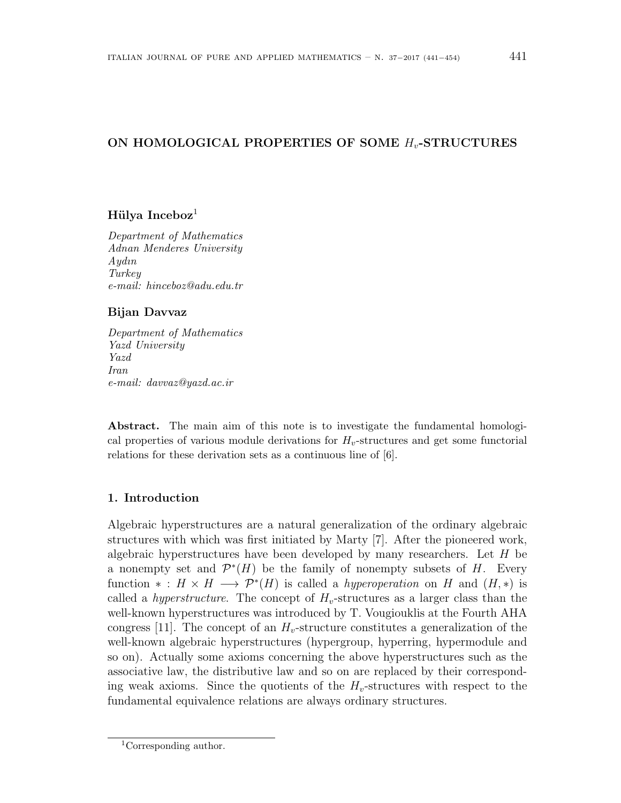# **ON HOMOLOGICAL PROPERTIES OF SOME** *Hv***-STRUCTURES**

## **H¨ulya Inceboz**<sup>1</sup>

*Department of Mathematics Adnan Menderes University Aydın Turkey e-mail: hinceboz@adu.edu.tr*

# **Bijan Davvaz**

*Department of Mathematics Yazd University Yazd Iran e-mail: davvaz@yazd.ac.ir*

**Abstract.** The main aim of this note is to investigate the fundamental homological properties of various module derivations for  $H_v$ -structures and get some functorial relations for these derivation sets as a continuous line of [6].

## **1. Introduction**

Algebraic hyperstructures are a natural generalization of the ordinary algebraic structures with which was first initiated by Marty [7]. After the pioneered work, algebraic hyperstructures have been developed by many researchers. Let *H* be a nonempty set and  $\mathcal{P}^*(H)$  be the family of nonempty subsets of *H*. Every function  $* : H \times H \longrightarrow \mathcal{P}^*(H)$  is called a *hyperoperation* on *H* and  $(H, *)$  is called a *hyperstructure*. The concept of  $H_v$ -structures as a larger class than the well-known hyperstructures was introduced by T. Vougiouklis at the Fourth AHA congress [11]. The concept of an  $H_v$ -structure constitutes a generalization of the well-known algebraic hyperstructures (hypergroup, hyperring, hypermodule and so on). Actually some axioms concerning the above hyperstructures such as the associative law, the distributive law and so on are replaced by their corresponding weak axioms. Since the quotients of the  $H<sub>v</sub>$ -structures with respect to the fundamental equivalence relations are always ordinary structures.

<sup>1</sup>Corresponding author.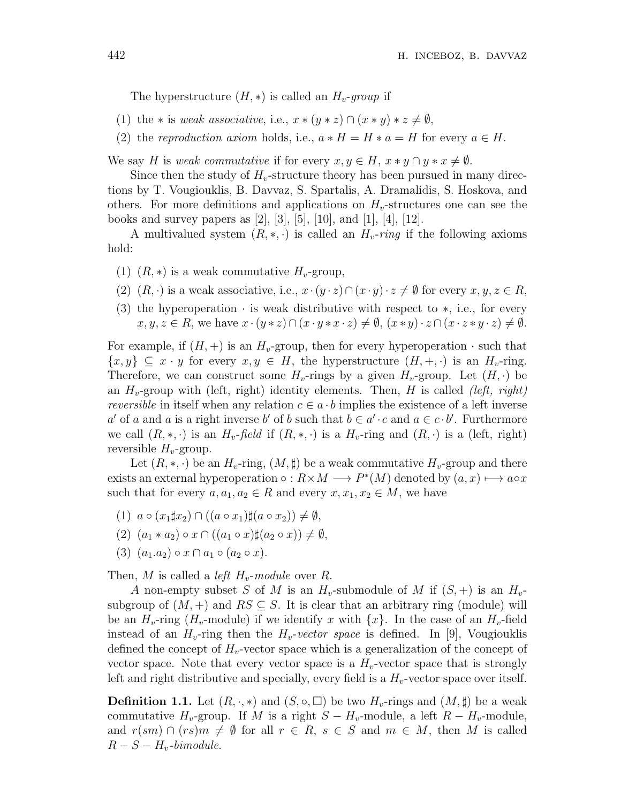The hyperstructure  $(H, *)$  is called an  $H_v$ -*group* if

- (1) the *\** is *weak associative*, i.e.,  $x * (y * z) \cap (x * y) * z \neq \emptyset$ ,
- (2) the *reproduction axiom* holds, i.e.,  $a * H = H * a = H$  for every  $a \in H$ .

We say *H* is *weak commutative* if for every  $x, y \in H$ ,  $x * y \cap y * x \neq \emptyset$ .

Since then the study of  $H_v$ -structure theory has been pursued in many directions by T. Vougiouklis, B. Davvaz, S. Spartalis, A. Dramalidis, S. Hoskova, and others. For more definitions and applications on *Hv*-structures one can see the books and survey papers as  $[2]$ ,  $[3]$ ,  $[5]$ ,  $[10]$ , and  $[1]$ ,  $[4]$ ,  $[12]$ .

A multivalued system  $(R, *, \cdot)$  is called an  $H_v$ -*ring* if the following axioms hold:

- (1)  $(R, *)$  is a weak commutative  $H_v$ -group,
- (2)  $(R, \cdot)$  is a weak associative, i.e.,  $x \cdot (y \cdot z) \cap (x \cdot y) \cdot z \neq \emptyset$  for every  $x, y, z \in R$ ,
- (3) the hyperoperation *·* is weak distributive with respect to *∗*, i.e., for every  $x, y, z \in R$ , we have  $x \cdot (y * z) \cap (x \cdot y * x \cdot z) \neq \emptyset$ ,  $(x * y) \cdot z \cap (x \cdot z * y \cdot z) \neq \emptyset$ .

For example, if  $(H,+)$  is an  $H_v$ -group, then for every hyperoperation  $\cdot$  such that  $\{x, y\} \subseteq x \cdot y$  for every  $x, y \in H$ , the hyperstructure  $(H, +, \cdot)$  is an  $H_v$ -ring. Therefore, we can construct some  $H_v$ -rings by a given  $H_v$ -group. Let  $(H, \cdot)$  be an *Hv*-group with (left, right) identity elements. Then, *H* is called *(left, right) reversible* in itself when any relation  $c \in a \cdot b$  implies the existence of a left inverse a' of a and a is a right inverse b' of b such that  $b \in a' \cdot c$  and  $a \in c \cdot b'$ . Furthermore we call  $(R, *, \cdot)$  is an  $H_v$ -*field* if  $(R, *, \cdot)$  is a  $H_v$ -ring and  $(R, \cdot)$  is a (left, right) reversible *Hv*-group.

Let  $(R, *, \cdot)$  be an  $H_v$ -ring,  $(M, \sharp)$  be a weak commutative  $H_v$ -group and there exists an external hyperoperation  $\circ$  :  $R \times M \longrightarrow P^*(M)$  denoted by  $(a, x) \longmapsto a \circ x$ such that for every  $a, a_1, a_2 \in R$  and every  $x, x_1, x_2 \in M$ , we have

- $(1)$   $a \circ (x_1 \sharp x_2) \cap ((a \circ x_1) \sharp (a \circ x_2)) \neq \emptyset$ ,
- $(2)$   $(a_1 * a_2) \circ x \cap ((a_1 \circ x)\sharp(a_2 \circ x)) \neq \emptyset,$
- $(3)$   $(a_1.a_2) \circ x \cap a_1 \circ (a_2 \circ x).$

Then, *M* is called a *left Hv*-*module* over *R*.

*A* non-empty subset *S* of *M* is an  $H_v$ -submodule of *M* if  $(S, +)$  is an  $H_v$ subgroup of  $(M,+)$  and  $RS \subseteq S$ . It is clear that an arbitrary ring (module) will be an  $H_v$ -ring ( $H_v$ -module) if we identify x with  $\{x\}$ . In the case of an  $H_v$ -field instead of an  $H_v$ -ring then the  $H_v$ -*vector space* is defined. In [9], Vougiouklis defined the concept of *Hv*-vector space which is a generalization of the concept of vector space. Note that every vector space is a  $H_v$ -vector space that is strongly left and right distributive and specially, every field is a *Hv*-vector space over itself.

**Definition 1.1.** Let  $(R, \cdot, *)$  and  $(S, \circ, \Box)$  be two  $H_v$ -rings and  $(M, \sharp)$  be a weak commutative  $H_v$ -group. If *M* is a right  $S - H_v$ -module, a left  $R - H_v$ -module, and  $r(sm) \cap (rs)m \neq \emptyset$  for all  $r \in R$ ,  $s \in S$  and  $m \in M$ , then M is called  $R - S - H_v$ *-bimodule.*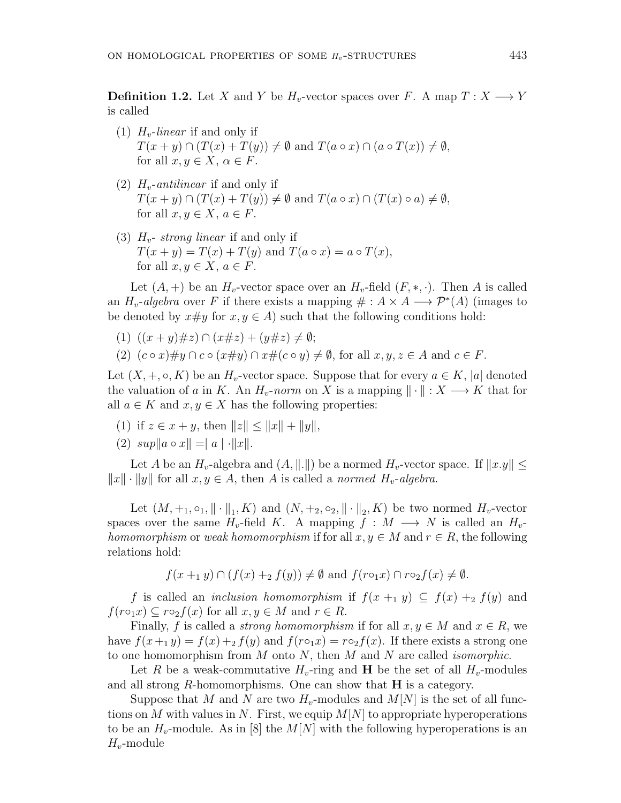**Definition 1.2.** Let *X* and *Y* be  $H_v$ -vector spaces over *F*. A map  $T: X \longrightarrow Y$ is called

- (1) *Hv*-*linear* if and only if  $T(x + y) \cap (T(x) + T(y)) \neq \emptyset$  and  $T(a \circ x) \cap (a \circ T(x)) \neq \emptyset$ , for all  $x, y \in X$ ,  $\alpha \in F$ .
- (2) *Hv*-*antilinear* if and only if  $T(x + y) \cap (T(x) + T(y)) \neq \emptyset$  and  $T(a \circ x) \cap (T(x) \circ a) \neq \emptyset$ , for all  $x, y \in X$ ,  $a \in F$ .
- (3) *Hv strong linear* if and only if  $T(x + y) = T(x) + T(y)$  and  $T(a \circ x) = a \circ T(x)$ , for all  $x, y \in X$ ,  $a \in F$ .

Let  $(A,+)$  be an  $H_v$ -vector space over an  $H_v$ -field  $(F,*,\cdot)$ . Then A is called an  $H_v$ -*algebra* over *F* if there exists a mapping  $\# : A \times A \longrightarrow \mathcal{P}^*(A)$  (images to be denoted by  $x \# y$  for  $x, y \in A$ ) such that the following conditions hold:

(1) 
$$
((x+y)\#z) \cap (x\#z) + (y\#z) \neq \emptyset;
$$

(2)  $(c \circ x) \# y \cap c \circ (x \# y) \cap x \# (c \circ y) \neq \emptyset$ , for all  $x, y, z \in A$  and  $c \in F$ .

Let  $(X, +, \circ, K)$  be an  $H_v$ -vector space. Suppose that for every  $a \in K$ , |a| denoted the valuation of *a* in *K*. An  $H_v$ -norm on *X* is a mapping  $\|\cdot\|: X \longrightarrow K$  that for all  $a \in K$  and  $x, y \in X$  has the following properties:

- (1) if  $z \in x + y$ , then  $||z|| < ||x|| + ||y||$ ,
- $(2) \ \ \sup |a \circ x| = |a| \cdot ||x||.$

Let *A* be an  $H_v$ -algebra and  $(A, \|.\|)$  be a normed  $H_v$ -vector space. If  $||x.y|| \leq$  $||x|| \cdot ||y||$  *for all*  $x, y \in A$ *, then <i>A* is called a *normed*  $H_v$ -*algebra*.

Let  $(M, +_1, \circ_1, \|\cdot\|_1, K)$  and  $(N, +_2, \circ_2, \|\cdot\|_2, K)$  be two normed  $H_v$ -vector spaces over the same  $H_v$ -field K. A mapping  $f : M \longrightarrow N$  is called an  $H_v$ *homomorphism* or *weak homomorphism* if for all  $x, y \in M$  and  $r \in R$ , the following relations hold:

$$
f(x +_1 y) \cap (f(x) +_2 f(y)) \neq \emptyset
$$
 and  $f(r \circ_1 x) \cap r \circ_2 f(x) \neq \emptyset$ .

*f* is called an *inclusion homomorphism* if  $f(x + 1, y) \subseteq f(x) +2 f(y)$  and  $f(r \circ_1 x) \subseteq r \circ_2 f(x)$  for all  $x, y \in M$  and  $r \in R$ .

Finally, *f* is called a *strong homomorphism* if for all  $x, y \in M$  and  $x \in R$ , we have  $f(x+y) = f(x) +2 f(y)$  and  $f(r \circ_1 x) = r \circ_2 f(x)$ . If there exists a strong one to one homomorphism from *M* onto *N*, then *M* and *N* are called *isomorphic*.

Let R be a weak-commutative  $H_v$ -ring and **H** be the set of all  $H_v$ -modules and all strong *R*-homomorphisms. One can show that **H** is a category.

Suppose that *M* and *N* are two  $H_v$ -modules and  $M[N]$  is the set of all functions on *M* with values in *N*. First, we equip  $M[N]$  to appropriate hyperoperations to be an  $H_v$ -module. As in [8] the  $M[N]$  with the following hyperoperations is an *Hv*-module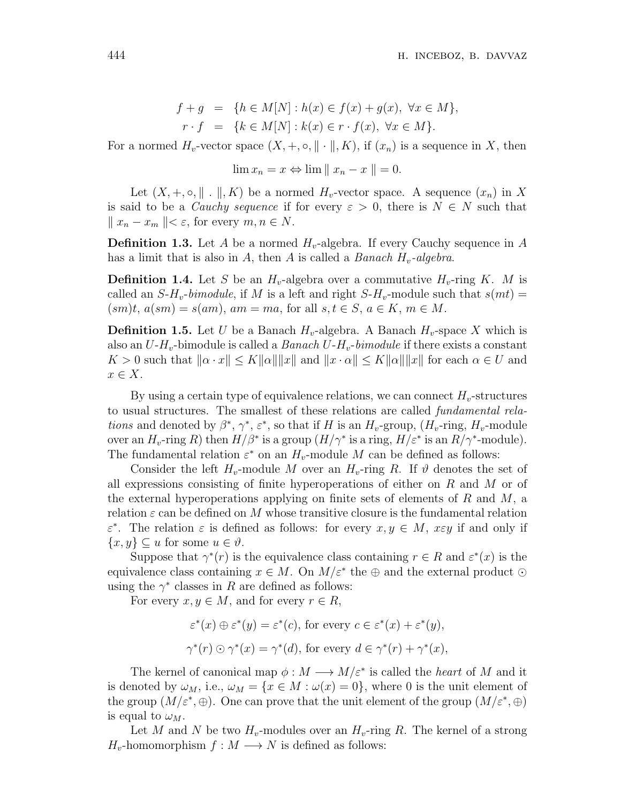$$
f + g = \{ h \in M[N] : h(x) \in f(x) + g(x), \forall x \in M \},
$$
  

$$
r \cdot f = \{ k \in M[N] : k(x) \in r \cdot f(x), \forall x \in M \}.
$$

For a normed  $H_v$ -vector space  $(X, +, \circ, \| \cdot \|, K)$ , if  $(x_n)$  is a sequence in X, then

$$
\lim x_n = x \Leftrightarrow \lim \| x_n - x \| = 0.
$$

Let  $(X, +, \circ, \| \cdot \|, K)$  be a normed  $H_v$ -vector space. A sequence  $(x_n)$  in X is said to be a *Cauchy sequence* if for every  $\varepsilon > 0$ , there is  $N \in N$  such that *∥*  $x_n - x_m$  *∥* < *ε*, for every  $m, n \in N$ .

**Definition 1.3.** Let *A* be a normed *Hv*-algebra. If every Cauchy sequence in *A* has a limit that is also in *A*, then *A* is called a *Banach Hv-algebra*.

**Definition 1.4.** Let *S* be an  $H_v$ -algebra over a commutative  $H_v$ -ring *K*. *M* is called an *S*- $H_v$ -*bimodule*, if *M* is a left and right *S*- $H_v$ -module such that  $s(mt)$  =  $(s_m)t, a(s_m) = s(am), am = ma, for all  $s, t \in S, a \in K, m \in M$ .$ 

**Definition 1.5.** Let *U* be a Banach  $H_v$ -algebra. A Banach  $H_v$ -space X which is also an *U*-*Hv*-bimodule is called a *Banach U*-*Hv*-*bimodule* if there exists a constant  $K > 0$  such that  $\|\alpha \cdot x\| \leq K \|\alpha\| \|x\|$  and  $\|x \cdot \alpha\| \leq K \|\alpha\| \|x\|$  for each  $\alpha \in U$  and *x ∈ X*.

By using a certain type of equivalence relations, we can connect  $H_v$ -structures to usual structures. The smallest of these relations are called *fundamental relations* and denoted by  $\beta^*, \gamma^*, \varepsilon^*,$  so that if *H* is an  $H_v$ -group,  $(H_v$ -ring,  $H_v$ -module over an  $H_v$ -ring *R*) then  $H/\beta^*$  is a group  $(H/\gamma^*$  is a ring,  $H/\varepsilon^*$  is an  $R/\gamma^*$ -module). The fundamental relation  $\varepsilon^*$  on an  $H_v$ -module M can be defined as follows:

Consider the left  $H_v$ -module M over an  $H_v$ -ring R. If  $\vartheta$  denotes the set of all expressions consisting of finite hyperoperations of either on *R* and *M* or of the external hyperoperations applying on finite sets of elements of *R* and *M*, a relation  $\varepsilon$  can be defined on M whose transitive closure is the fundamental relation  $\varepsilon^*$ . The relation  $\varepsilon$  is defined as follows: for every  $x, y \in M$ ,  $x \varepsilon y$  if and only if  ${x, y}$  ⊂ *u* for some  $u \in \vartheta$ .

Suppose that  $\gamma^*(r)$  is the equivalence class containing  $r \in R$  and  $\varepsilon^*(x)$  is the equivalence class containing  $x \in M$ . On  $M/\varepsilon^*$  the  $\oplus$  and the external product  $\odot$ using the  $\gamma^*$  classes in *R* are defined as follows:

For every  $x, y \in M$ , and for every  $r \in R$ ,

$$
\varepsilon^*(x) \oplus \varepsilon^*(y) = \varepsilon^*(c), \text{ for every } c \in \varepsilon^*(x) + \varepsilon^*(y),
$$
  

$$
\gamma^*(r) \odot \gamma^*(x) = \gamma^*(d), \text{ for every } d \in \gamma^*(r) + \gamma^*(x),
$$

The kernel of canonical map  $\phi: M \longrightarrow M/\varepsilon^*$  is called the *heart* of *M* and it is denoted by  $\omega_M$ , i.e.,  $\omega_M = \{x \in M : \omega(x) = 0\}$ , where 0 is the unit element of the group  $(M/\varepsilon^*, \oplus)$ . One can prove that the unit element of the group  $(M/\varepsilon^*, \oplus)$ is equal to  $\omega_M$ .

Let *M* and *N* be two *Hv*-modules over an *Hv*-ring *R*. The kernel of a strong  $H_v$ -homomorphism  $f: M \longrightarrow N$  is defined as follows: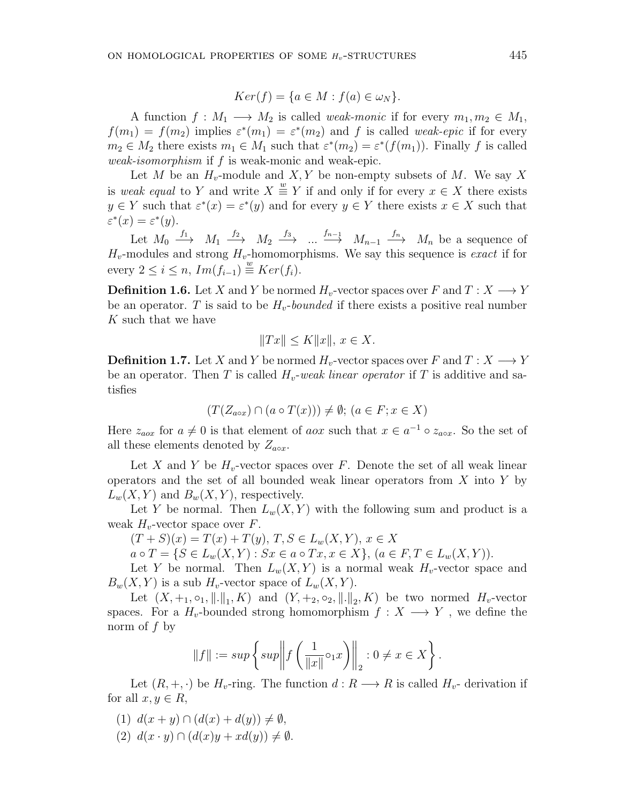$$
Ker(f) = \{a \in M : f(a) \in \omega_N\}.
$$

A function  $f : M_1 \longrightarrow M_2$  is called *weak-monic* if for every  $m_1, m_2 \in M_1$ ,  $f(m_1) = f(m_2)$  implies  $\varepsilon^*(m_1) = \varepsilon^*(m_2)$  and *f* is called *weak-epic* if for every  $m_2 \in M_2$  there exists  $m_1 \in M_1$  such that  $\varepsilon^*(m_2) = \varepsilon^*(f(m_1))$ . Finally *f* is called *weak-isomorphism* if *f* is weak-monic and weak-epic.

Let *M* be an  $H_v$ -module and  $X, Y$  be non-empty subsets of *M*. We say X is *weak equal* to *Y* and write  $X \stackrel{w}{\equiv} Y$  if and only if for every  $x \in X$  there exists  $y \in Y$  such that  $\varepsilon^*(x) = \varepsilon^*(y)$  and for every  $y \in Y$  there exists  $x \in X$  such that  $\varepsilon^*(x) = \varepsilon^*(y).$ 

Let  $M_0 \stackrel{f_1}{\longrightarrow} M_1 \stackrel{f_2}{\longrightarrow} M_2 \stackrel{f_3}{\longrightarrow} \dots \stackrel{f_{n-1}}{\longrightarrow} M_{n-1} \stackrel{f_n}{\longrightarrow} M_n$  be a sequence of  $H_v$ -modules and strong  $H_v$ -homomorphisms. We say this sequence is *exact* if for every  $2 \leq i \leq n$ ,  $Im(f_{i-1}) \stackrel{w}{=} Ker(f_i)$ .

**Definition 1.6.** Let *X* and *Y* be normed *H<sub><i>v*</sub></sub>-vector spaces over *F* and  $T: X \longrightarrow Y$ be an operator. *T* is said to be  $H_v$ -*bounded* if there exists a positive real number *K* such that we have

$$
||Tx|| \le K||x||, x \in X.
$$

**Definition 1.7.** Let *X* and *Y* be normed  $H_v$ -vector spaces over *F* and  $T: X \longrightarrow Y$ be an operator. Then *T* is called  $H_v$ -weak linear operator if *T* is additive and satisfies

$$
(T(Z_{a\circ x}) \cap (a \circ T(x))) \neq \emptyset; (a \in F; x \in X)
$$

Here  $z_{a\alpha x}$  for  $a \neq 0$  is that element of  $a\alpha x$  such that  $x \in a^{-1} \circ z_{a\alpha x}$ . So the set of all these elements denoted by  $Z_{a \circ x}$ .

Let X and Y be  $H_v$ -vector spaces over F. Denote the set of all weak linear operators and the set of all bounded weak linear operators from *X* into *Y* by  $L_w(X, Y)$  and  $B_w(X, Y)$ , respectively.

Let *Y* be normal. Then  $L_w(X, Y)$  with the following sum and product is a weak  $H_v$ -vector space over  $F$ .

 $(T + S)(x) = T(x) + T(y), T, S \in L_w(X, Y), x \in X$ 

 $a \circ T = \{ S \in L_w(X, Y) : Sx \in a \circ Tx, x \in X \}, (a \in F, T \in L_w(X, Y)).$ 

Let *Y* be normal. Then  $L_w(X, Y)$  is a normal weak  $H_v$ -vector space and  $B_w(X, Y)$  is a sub  $H_v$ -vector space of  $L_w(X, Y)$ .

Let  $(X, +_1, \circ_1, \|.\|_1, K)$  and  $(Y, +_2, \circ_2, \|.\|_2, K)$  be two normed  $H_v$ -vector spaces. For a  $H_v$ -bounded strong homomorphism  $f: X \longrightarrow Y$ , we define the norm of *f* by

$$
||f|| := \sup \left\{ \sup \left| \int f\left(\frac{1}{||x||} \circ_1 x\right) \right| \Big|_2 : 0 \neq x \in X \right\}.
$$

Let  $(R, +, \cdot)$  be  $H_v$ -ring. The function  $d: R \longrightarrow R$  is called  $H_v$ - derivation if for all  $x, y \in R$ ,

- (1)  $d(x + y) ∩ (d(x) + d(y)) \neq \emptyset$ ,
- $(2)$   $d(x \cdot y) \cap (d(x)y + xd(y)) \neq \emptyset$ .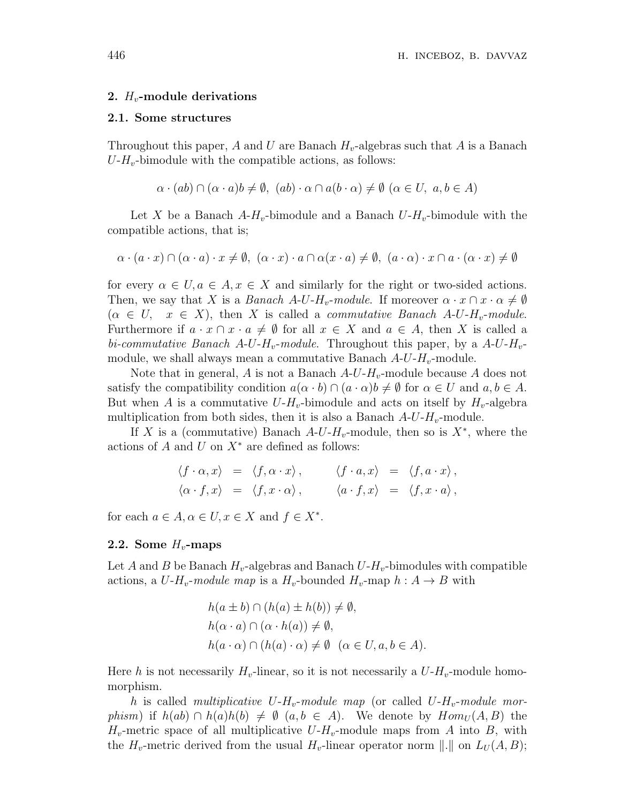#### **2.** *Hv***-module derivations**

#### **2.1. Some structures**

Throughout this paper, *A* and *U* are Banach *Hv*-algebras such that *A* is a Banach  $U-H_v$ -bimodule with the compatible actions, as follows:

$$
\alpha \cdot (ab) \cap (\alpha \cdot a)b \neq \emptyset, \ (ab) \cdot \alpha \cap a(b \cdot \alpha) \neq \emptyset \ (\alpha \in U, \ a, b \in A)
$$

Let *X* be a Banach *A*-*Hv*-bimodule and a Banach *U*-*Hv*-bimodule with the compatible actions, that is;

$$
\alpha \cdot (a \cdot x) \cap (\alpha \cdot a) \cdot x \neq \emptyset, \ (\alpha \cdot x) \cdot a \cap \alpha(x \cdot a) \neq \emptyset, \ (a \cdot \alpha) \cdot x \cap a \cdot (\alpha \cdot x) \neq \emptyset
$$

for every  $\alpha \in U, \alpha \in A, x \in X$  and similarly for the right or two-sided actions. Then, we say that *X* is a *Banach A-U-H<sub>v</sub>-module*. If moreover  $\alpha \cdot x \cap x \cdot \alpha \neq \emptyset$  $(\alpha \in U, x \in X)$ , then *X* is called a *commutative Banach A*-*U*-*H<sub>v</sub>*-*module*. Furthermore if  $a \cdot x \cap x \cdot a \neq \emptyset$  for all  $x \in X$  and  $a \in A$ , then X is called a *bi-commutative Banach A*-*U*-*Hv*-*module*. Throughout this paper, by a *A*-*U*-*Hv*module, we shall always mean a commutative Banach *A*-*U*-*Hv*-module.

Note that in general, *A* is not a Banach *A*-*U*-*Hv*-module because *A* does not satisfy the compatibility condition  $a(\alpha \cdot b) \cap (a \cdot \alpha)b \neq \emptyset$  for  $\alpha \in U$  and  $a, b \in A$ . But when *A* is a commutative  $U-H_v$ -bimodule and acts on itself by  $H_v$ -algebra multiplication from both sides, then it is also a Banach *A*-*U*-*Hv*-module.

If *X* is a (commutative) Banach  $A-U-H_v$ -module, then so is  $X^*$ , where the actions of *A* and *U* on *X<sup>∗</sup>* are defined as follows:

$$
\langle f \cdot \alpha, x \rangle = \langle f, \alpha \cdot x \rangle, \qquad \langle f \cdot a, x \rangle = \langle f, a \cdot x \rangle, \langle \alpha \cdot f, x \rangle = \langle f, x \cdot \alpha \rangle, \qquad \langle a \cdot f, x \rangle = \langle f, x \cdot a \rangle,
$$

for each  $a \in A, \alpha \in U, x \in X$  and  $f \in X^*$ .

### 2.2. Some  $H_v$ -maps

Let *A* and *B* be Banach  $H_v$ -algebras and Banach  $U-H_v$ -bimodules with compatible actions, a  $U-H_v$ -module map is a  $H_v$ -bounded  $H_v$ -map  $h: A \to B$  with

$$
h(a \pm b) \cap (h(a) \pm h(b)) \neq \emptyset,
$$
  
\n
$$
h(\alpha \cdot a) \cap (\alpha \cdot h(a)) \neq \emptyset,
$$
  
\n
$$
h(a \cdot \alpha) \cap (h(a) \cdot \alpha) \neq \emptyset \quad (\alpha \in U, a, b \in A)
$$

Here *h* is not necessarily  $H_v$ -linear, so it is not necessarily a  $U-H_v$ -module homomorphism.

*h* is called *multiplicative*  $U-H_v$ -*module map* (or called  $U-H_v$ -*module morphism*) if  $h(ab) \cap h(a)h(b) \neq \emptyset$  (*a, b*  $\in$  *A*). We denote by  $Hom_U(A, B)$  the  $H_v$ -metric space of all multiplicative  $U-H_v$ -module maps from *A* into *B*, with the *H*<sub>v</sub>-metric derived from the usual *H*<sub>v</sub>-linear operator norm  $\|\cdot\|$  on  $L_U(A, B)$ ;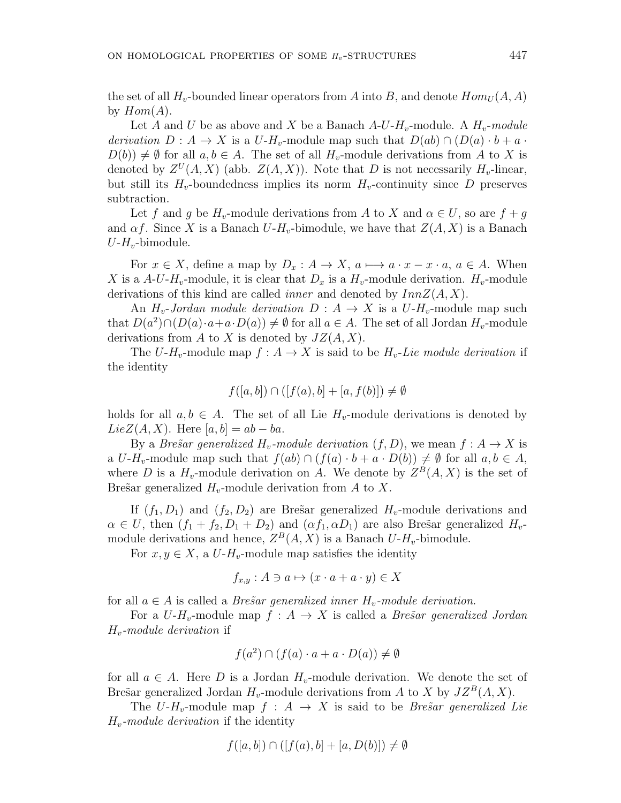the set of all  $H_v$ -bounded linear operators from A into B, and denote  $Hom_U(A, A)$ by  $Hom(A)$ .

Let *A* and *U* be as above and *X* be a Banach  $A$ -*U*- $H$ <sub>*v*</sub>-module. A  $H$ <sub>*v*</sub>-module *derivation*  $D: A \rightarrow X$  is a  $U-H_v$ -module map such that  $D(ab) \cap (D(a) \cdot b + a \cdot b)$  $D(b)$   $\neq \emptyset$  for all  $a, b \in A$ . The set of all  $H_v$ -module derivations from *A* to *X* is denoted by  $Z^U(A, X)$  (abb.  $Z(A, X)$ ). Note that *D* is not necessarily  $H_v$ -linear, but still its  $H_v$ -boundedness implies its norm  $H_v$ -continuity since *D* preserves subtraction.

Let f and g be  $H_v$ -module derivations from A to X and  $\alpha \in U$ , so are  $f + g$ and  $\alpha f$ . Since *X* is a Banach *U*-*H*<sub>*v*</sub>-bimodule, we have that  $Z(A, X)$  is a Banach *U*-*Hv*-bimodule.

For  $x \in X$ , define a map by  $D_x: A \to X$ ,  $a \mapsto a \cdot x - x \cdot a$ ,  $a \in A$ . When *X* is a *A*-*U*-*H*<sub>*v*</sub>-module, it is clear that  $D_x$  is a  $H_v$ -module derivation.  $H_v$ -module derivations of this kind are called *inner* and denoted by *InnZ*(*A, X*).

An  $H_v$ -*Jordan module derivation*  $D: A \rightarrow X$  is a  $U-H_v$ -module map such that  $D(a^2) \cap (D(a) \cdot a + a \cdot D(a)) \neq \emptyset$  for all  $a \in A$ . The set of all Jordan  $H_v$ -module derivations from *A* to *X* is denoted by  $JZ(A, X)$ .

The *U*- $H_v$ -module map  $f: A \to X$  is said to be  $H_v$ -*Lie module derivation* if the identity

$$
f([a, b]) \cap ([f(a), b] + [a, f(b)]) \neq \emptyset
$$

holds for all  $a, b \in A$ . The set of all Lie  $H_v$ -module derivations is denoted by  $LieZ(A, X)$ . Here  $[a, b] = ab - ba$ .

By a *Bresar generalized*  $H_v$ -module derivation  $(f, D)$ , we mean  $f : A \to X$  is a  $U-H_v$ -module map such that  $f(ab) \cap (f(a) \cdot b + a \cdot D(b)) \neq \emptyset$  for all  $a, b \in A$ , where *D* is a  $H_v$ -module derivation on *A*. We denote by  $Z^B(A, X)$  is the set of Bres<sup> $\alpha$ </sup> are generalized  $H_v$ -module derivation from A to X.

If  $(f_1, D_1)$  and  $(f_2, D_2)$  are Bressar generalized  $H_v$ -module derivations and  $\alpha \in U$ , then  $(f_1 + f_2, D_1 + D_2)$  and  $(\alpha f_1, \alpha D_1)$  are also Bressar generalized  $H_v$ module derivations and hence,  $Z^B(A, X)$  is a Banach  $U-H_v$ -bimodule.

For  $x, y \in X$ , a  $U-H_v$ -module map satisfies the identity

$$
f_{x,y}: A \ni a \mapsto (x \cdot a + a \cdot y) \in X
$$

for all  $a \in A$  is called a *Bresar generalized inner*  $H_v$ *-module derivation.* 

For a  $U-H_v$ -module map  $f : A \to X$  is called a *Bresar generalized Jordan Hv-module derivation* if

$$
f(a^2) \cap (f(a) \cdot a + a \cdot D(a)) \neq \emptyset
$$

for all  $a \in A$ . Here D is a Jordan  $H_v$ -module derivation. We denote the set of Bres<sup>3</sup>ar generalized Jordan  $H_v$ -module derivations from *A* to *X* by  $JZ^B(A, X)$ .

The  $U-H_v$ -module map  $f: A \to X$  is said to be *Bressar generalized Lie Hv-module derivation* if the identity

$$
f([a,b]) \cap ([f(a),b] + [a,D(b)]) \neq \emptyset
$$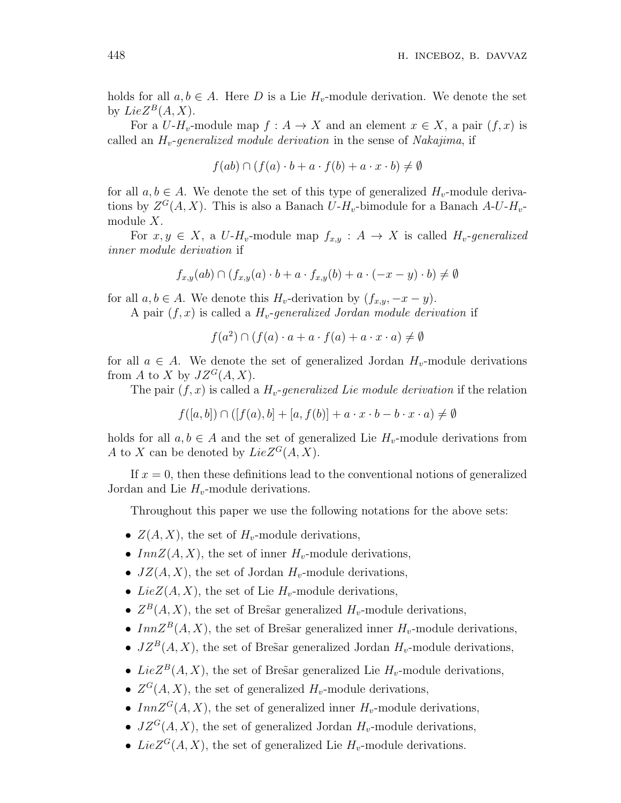holds for all  $a, b \in A$ . Here *D* is a Lie  $H_v$ -module derivation. We denote the set by  $LieZ^{B}(A, X)$ .

For a *U*- $H_v$ -module map  $f: A \to X$  and an element  $x \in X$ , a pair  $(f, x)$  is called an *Hv*-*generalized module derivation* in the sense of *Nakajima*, if

$$
f(ab) \cap (f(a) \cdot b + a \cdot f(b) + a \cdot x \cdot b) \neq \emptyset
$$

for all  $a, b \in A$ . We denote the set of this type of generalized  $H_v$ -module derivations by  $Z^G(A, X)$ . This is also a Banach  $U-H_v$ -bimodule for a Banach  $A-U-H_v$ module *X*.

For  $x, y \in X$ , a  $U-H_v$ -module map  $f_{x,y}: A \to X$  is called  $H_v$ -generalized *inner module derivation* if

$$
f_{x,y}(ab) \cap (f_{x,y}(a) \cdot b + a \cdot f_{x,y}(b) + a \cdot (-x - y) \cdot b) \neq \emptyset
$$

for all  $a, b \in A$ . We denote this  $H_v$ -derivation by  $(f_{x,y}, -x-y)$ .

A pair (*f, x*) is called a *Hv*-*generalized Jordan module derivation* if

$$
f(a^2) \cap (f(a) \cdot a + a \cdot f(a) + a \cdot x \cdot a) \neq \emptyset
$$

for all  $a \in A$ . We denote the set of generalized Jordan  $H_v$ -module derivations from *A* to *X* by  $JZ^G(A, X)$ .

The pair  $(f, x)$  is called a  $H_v$ -*generalized Lie module derivation* if the relation

*f*([*a*, *b*]) ∩ ([*f*(*a*), *b*] + [*a*, *f*(*b*)] + *a* · *x* · *b* − *b* · *x* · *a*)  $\neq \emptyset$ 

holds for all  $a, b \in A$  and the set of generalized Lie  $H_v$ -module derivations from *A* to *X* can be denoted by  $LieZ^G(A, X)$ .

If  $x = 0$ , then these definitions lead to the conventional notions of generalized Jordan and Lie *Hv*-module derivations.

Throughout this paper we use the following notations for the above sets:

- $Z(A, X)$ , the set of  $H_v$ -module derivations,
- $InnZ(A, X)$ , the set of inner  $H_v$ -module derivations,
- $JZ(A, X)$ , the set of Jordan  $H_v$ -module derivations,
- *LieZ* $(A, X)$ , the set of Lie  $H_v$ -module derivations,
- $Z^B(A, X)$ , the set of Bressar generalized  $H_v$ -module derivations,
- $InnZ^{B}(A, X)$ , the set of Bressar generalized inner  $H_{v}$ -module derivations,
- $JZ^B(A, X)$ , the set of Bressar generalized Jordan  $H_v$ -module derivations,
- *Lie* $Z^B(A, X)$ , the set of Bressar generalized Lie  $H_v$ -module derivations,
- $Z^G(A, X)$ , the set of generalized  $H_v$ -module derivations,
- $InnZ<sup>G</sup>(A, X)$ , the set of generalized inner  $H_v$ -module derivations,
- $JZ<sup>G</sup>(A, X)$ , the set of generalized Jordan  $H<sub>v</sub>$ -module derivations,
- *Lie* $Z^G(A, X)$ , the set of generalized Lie  $H_v$ -module derivations.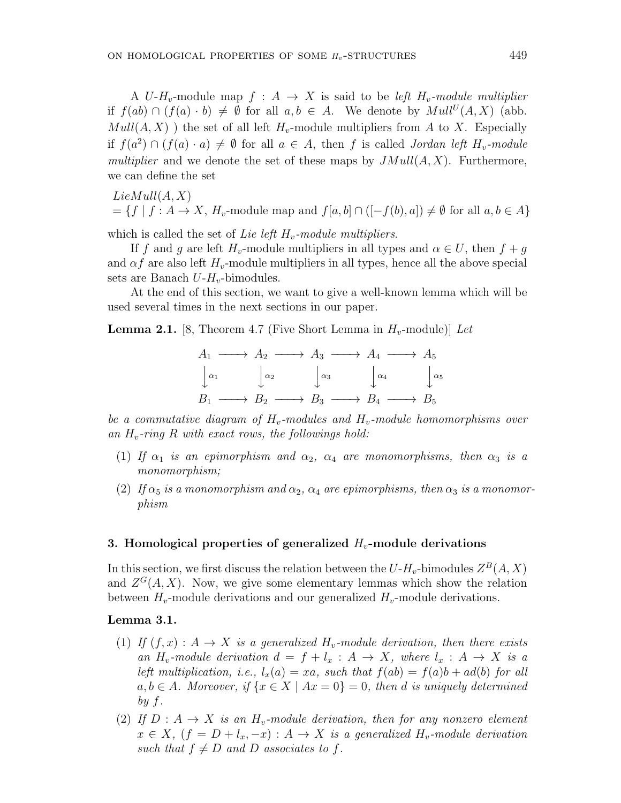A *U*- $H_v$ -module map  $f : A \rightarrow X$  is said to be *left*  $H_v$ -module multiplier if  $f(ab) \cap (f(a) \cdot b) \neq \emptyset$  for all  $a, b \in A$ . We denote by  $Mull^{U}(A, X)$  (abb.  $Mull(A, X)$  ) the set of all left  $H_v$ -module multipliers from *A* to *X*. Especially if  $f(a^2) ∩ (f(a) ⋅ a) ≠ ∅$  for all  $a ∈ A$ , then  $f$  is called *Jordan left*  $H_v$ -module *multiplier* and we denote the set of these maps by  $JMull(A, X)$ . Furthermore, we can define the set

*LieMull*(*A, X*)  $=\{f \mid f: A \to X, H_v\text{-module map and } f[a,b] \cap ([-f(b),a]) \neq \emptyset \text{ for all } a,b \in A\}$ 

which is called the set of *Lie left Hv-module multipliers*.

If *f* and *g* are left  $H_v$ -module multipliers in all types and  $\alpha \in U$ , then  $f + g$ and  $\alpha f$  are also left  $H_v$ -module multipliers in all types, hence all the above special sets are Banach *U*-*Hv*-bimodules.

At the end of this section, we want to give a well-known lemma which will be used several times in the next sections in our paper.

**Lemma 2.1.** [8, Theorem 4.7 (Five Short Lemma in  $H_v$ -module)] Let

$$
A_1 \longrightarrow A_2 \longrightarrow A_3 \longrightarrow A_4 \longrightarrow A_5
$$
  
\n
$$
\downarrow \alpha_1 \qquad \downarrow \alpha_2 \qquad \downarrow \alpha_3 \qquad \downarrow \alpha_4 \qquad \downarrow \alpha_5
$$
  
\n
$$
B_1 \longrightarrow B_2 \longrightarrow B_3 \longrightarrow B_4 \longrightarrow B_5
$$

*be a commutative diagram of Hv-modules and Hv-module homomorphisms over an Hv-ring R with exact rows, the followings hold:*

- (1) *If*  $\alpha_1$  *is an epimorphism and*  $\alpha_2$ ,  $\alpha_4$  *are monomorphisms, then*  $\alpha_3$  *is a monomorphism;*
- (2) If  $\alpha_5$  *is a monomorphism and*  $\alpha_2$ ,  $\alpha_4$  *are epimorphisms, then*  $\alpha_3$  *is a monomorphism*

### **3. Homological properties of generalized** *Hv***-module derivations**

In this section, we first discuss the relation between the  $U-H_v$ -bimodules  $Z^B(A, X)$ and  $Z^G(A, X)$ . Now, we give some elementary lemmas which show the relation between  $H_v$ -module derivations and our generalized  $H_v$ -module derivations.

### **Lemma 3.1.**

- (1) If  $(f, x) : A \to X$  is a generalized  $H_v$ -module derivation, then there exists *an*  $H_v$ -module derivation  $d = f + l_x : A \rightarrow X$ , where  $l_x : A \rightarrow X$  is a *left multiplication, i.e.,*  $l_x(a) = xa$ *, such that*  $f(ab) = f(a)b + ad(b)$  *for all a, b* ∈ *A.* Moreover, if  $\{x \in X \mid Ax = 0\} = 0$ , then *d* is uniquely determined *by f.*
- (2) If  $D: A \rightarrow X$  is an  $H_v$ -module derivation, then for any nonzero element  $x \in X$ ,  $(f = D + l_x, -x) : A \to X$  *is a generalized*  $H_v$ *-module derivation* such that  $f \neq D$  and  $D$  associates to  $f$ .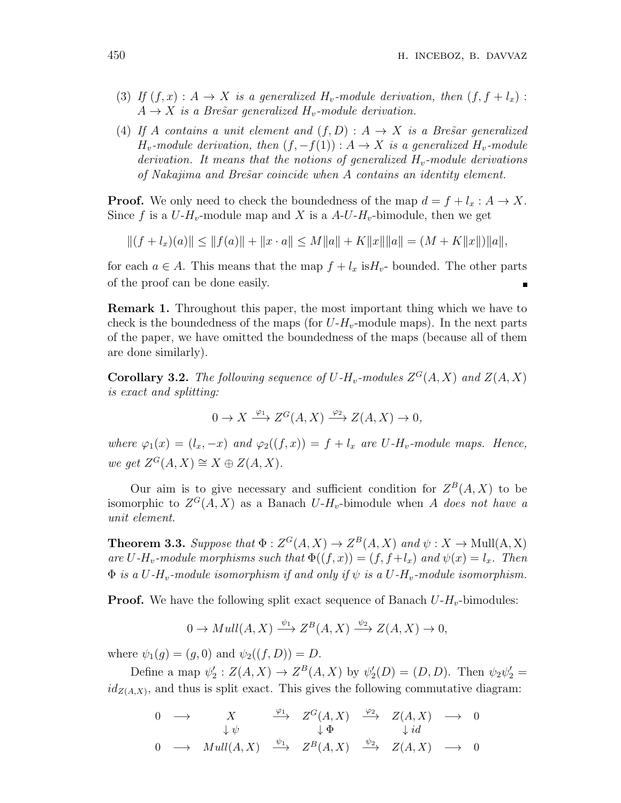- (3) If  $(f, x) : A \to X$  is a generalized  $H_v$ -module derivation, then  $(f, f + l_x)$ :  $A \rightarrow X$  *is a Bresar generalized*  $H_v$ *-module derivation.*
- (4) If *A* contains a unit element and  $(f, D) : A \rightarrow X$  is a Bressar generalized *H*<sub>*v*</sub>-module derivation, then  $(f, -f(1)) : A \rightarrow X$  *is a generalized*  $H_v$ -module *derivation. It means that the notions of generalized Hv-module derivations of Nakajima and Bre˜sar coincide when A contains an identity element.*

**Proof.** We only need to check the boundedness of the map  $d = f + l_x : A \rightarrow X$ . Since f is a  $U-H_v$ -module map and X is a  $A-U-H_v$ -bimodule, then we get

$$
||(f + l_x)(a)|| \le ||f(a)|| + ||x \cdot a|| \le M||a|| + K||x|| ||a|| = (M + K||x||) ||a||,
$$

for each  $a \in A$ . This means that the map  $f + l_x$  is  $H_v$ - bounded. The other parts of the proof can be done easily.

**Remark 1.** Throughout this paper, the most important thing which we have to check is the boundedness of the maps (for  $U-H_v$ -module maps). In the next parts of the paper, we have omitted the boundedness of the maps (because all of them are done similarly).

**Corollary 3.2.** *The following sequence of*  $U$ *-H<sub>v</sub>-modules*  $Z^G(A, X)$  *and*  $Z(A, X)$ *is exact and splitting:*

$$
0 \to X \xrightarrow{\varphi_1} Z^G(A, X) \xrightarrow{\varphi_2} Z(A, X) \to 0,
$$

*where*  $\varphi_1(x) = (l_x, -x)$  *and*  $\varphi_2((f, x)) = f + l_x$  *are U-H<sub>v</sub>-module maps. Hence,*  $we get Z<sup>G</sup>(A, X) ≅ X ⊕ Z(A, X).$ 

Our aim is to give necessary and sufficient condition for  $Z^B(A, X)$  to be isomorphic to  $Z^G(A, X)$  as a Banach  $U-H_v$ -bimodule when *A* does not have a *unit element*.

**Theorem 3.3.** Suppose that  $\Phi$  :  $Z^G(A, X) \to Z^B(A, X)$  and  $\psi$  :  $X \to \text{Mull}(A, X)$ *are*  $U$ - $H_v$ -module morphisms such that  $\Phi((f, x)) = (f, f + l_x)$  and  $\psi(x) = l_x$ . Then  $\Phi$  *is a U-H<sub><i>v*</sub></sub>-module isomorphism if and only if  $\psi$  *is a U<sub></sub>-H<sub><i>v*</sub>-module isomorphism.

**Proof.** We have the following split exact sequence of Banach  $U-H_v$ -bimodules:

$$
0 \to Mull(A, X) \xrightarrow{\psi_1} Z^B(A, X) \xrightarrow{\psi_2} Z(A, X) \to 0,
$$

where  $\psi_1(q) = (q, 0)$  and  $\psi_2((f, D)) = D$ .

Define a map  $\psi'_2$ :  $Z(A, X) \to Z^B(A, X)$  by  $\psi'_2(D) = (D, D)$ . Then  $\psi_2 \psi'_2 =$  $id_{Z(A,X)}$ , and thus is split exact. This gives the following commutative diagram:

$$
\begin{array}{ccccccccc}\n0 & \longrightarrow & X & & \xrightarrow{\varphi_1} & Z^G(A,X) & \xrightarrow{\varphi_2} & Z(A,X) & \longrightarrow & 0 \\
& & \downarrow \psi & & \downarrow \Phi & & \downarrow id & \\
0 & \longrightarrow & \text{Null}(A,X) & \xrightarrow{\psi_1} & Z^B(A,X) & \xrightarrow{\psi_2} & Z(A,X) & \longrightarrow & 0\n\end{array}
$$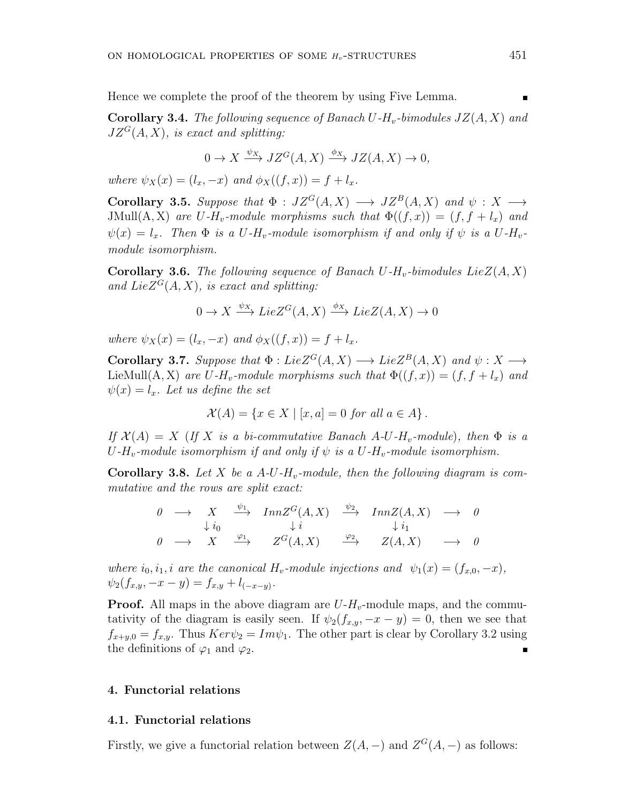Hence we complete the proof of the theorem by using Five Lemma.

**Corollary 3.4.** *The following sequence of Banach U-Hv-bimodules JZ*(*A, X*) *and JZ<sup>G</sup>*(*A, X*)*, is exact and splitting:*

$$
0 \to X \xrightarrow{\psi_X} JZ^G(A, X) \xrightarrow{\phi_X} JZ(A, X) \to 0,
$$

 $where \ \psi_X(x) = (l_x, -x) \ and \ \phi_X((f, x)) = f + l_x.$ 

**Corollary 3.5.** Suppose that  $\Phi$  :  $JZ^G(A,X) \longrightarrow JZ^B(A,X)$  and  $\psi$  :  $X \longrightarrow$ JMull $(A, X)$  *are*  $U$ - $H_v$ -module morphisms such that  $\Phi((f, x)) = (f, f + l_x)$  and  $\psi(x) = l_x$ . Then  $\Phi$  *is a U-H*<sub>*v*</sub>*-module isomorphism if and only if*  $\psi$  *is a U-H*<sub>*v*</sub>*module isomorphism.*

**Corollary 3.6.** *The following sequence of Banach*  $U$ *-H<sub>v</sub>*-bimodules  $LieZ(A, X)$ and  $LieZ<sup>G</sup>(A, X)$ *, is exact and splitting:* 

$$
0 \to X \xrightarrow{\psi_X} LieZ^G(A, X) \xrightarrow{\phi_X} LieZ(A, X) \to 0
$$

 $where \ \psi_X(x) = (l_x, -x) \ and \ \phi_X((f, x)) = f + l_x.$ 

**Corollary 3.7.** Suppose that  $\Phi: LieZ^G(A,X) \longrightarrow LieZ^B(A,X)$  and  $\psi: X \longrightarrow$ LieMull(A, X) are  $U$ - $H_v$ -module morphisms such that  $\Phi((f,x)) = (f, f + l_x)$  and  $\psi(x) = l_x$ *. Let us define the set* 

$$
\mathcal{X}(A) = \{ x \in X \mid [x, a] = 0 \text{ for all } a \in A \}.
$$

*If*  $\mathcal{X}(A) = X$  (*If*  $X$  *is a bi-commutative Banach*  $A$ *-U-H<sub>v</sub>*-module)*, then*  $\Phi$  *is a*  $U$ *-H*<sub>*v*</sub>-module isomorphism if and only if  $\psi$  is a  $U$ *-H*<sub>*v*</sub>-module isomorphism.

**Corollary 3.8.** Let  $X$  be a  $A$ -U- $H_v$ -module, then the following diagram is com*mutative and the rows are split exact:*

$$
\begin{array}{ccccccccc}\n0 & \longrightarrow & X & \xrightarrow{\psi_1} & InnZ^G(A,X) & \xrightarrow{\psi_2} & InnZ(A,X) & \longrightarrow & 0 \\
& \downarrow i_0 & & \downarrow i & & \downarrow i_1 \\
0 & \longrightarrow & X & \xrightarrow{\varphi_1} & Z^G(A,X) & \xrightarrow{\varphi_2} & Z(A,X) & \longrightarrow & 0\n\end{array}
$$

*where*  $i_0, i_1, i$  *are the canonical*  $H_v$ *-module injections and*  $\psi_1(x) = (f_{x,0}, -x)$ *,*  $\psi_2(f_{x,y}, -x-y) = f_{x,y} + l_{(-x-y)}$ 

**Proof.** All maps in the above diagram are  $U-H$ <sup>*v*</sup>-module maps, and the commutativity of the diagram is easily seen. If  $\psi_2(f_{x,y}, -x-y) = 0$ , then we see that  $f_{x+y,0} = f_{x,y}$ . Thus  $Ker\psi_2 = Im\psi_1$ . The other part is clear by Corollary 3.2 using the definitions of  $\varphi_1$  and  $\varphi_2$ .

### **4. Functorial relations**

### **4.1. Functorial relations**

Firstly, we give a functorial relation between  $Z(A, -)$  and  $Z^G(A, -)$  as follows: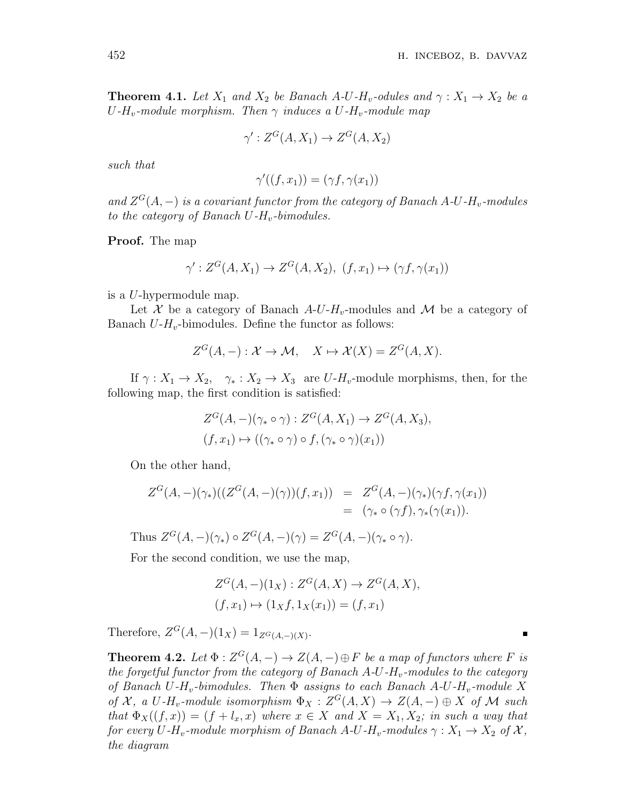**Theorem 4.1.** *Let*  $X_1$  *and*  $X_2$  *be Banach*  $A$ *-U-H<sub>v</sub>-odules and*  $\gamma: X_1 \to X_2$  *be a*  $U$ *-H*<sub>*v*</sub>-module morphism. Then  $\gamma$  *induces a*  $U$ *-H*<sub>*v*</sub>-module map

$$
\gamma': Z^G(A, X_1) \to Z^G(A, X_2)
$$

*such that*

$$
\gamma'((f, x_1)) = (\gamma f, \gamma(x_1))
$$

*and Z <sup>G</sup>*(*A, −*) *is a covariant functor from the category of Banach A-U-Hv-modules to the category of Banach U-Hv-bimodules.*

**Proof.** The map

$$
\gamma': Z^G(A, X_1) \to Z^G(A, X_2), \ (f, x_1) \mapsto (\gamma f, \gamma(x_1))
$$

is a *U*-hypermodule map.

Let X be a category of Banach  $A-U-H_v$ -modules and M be a category of Banach *U*-*Hv*-bimodules. Define the functor as follows:

$$
Z^G(A, -): \mathcal{X} \to \mathcal{M}, \quad X \mapsto \mathcal{X}(X) = Z^G(A, X).
$$

If  $\gamma: X_1 \to X_2$ ,  $\gamma_*: X_2 \to X_3$  are *U*-*H*<sub>*v*</sub>-module morphisms, then, for the following map, the first condition is satisfied:

$$
Z^G(A, -)(\gamma_* \circ \gamma) : Z^G(A, X_1) \to Z^G(A, X_3),
$$
  

$$
(f, x_1) \mapsto ((\gamma_* \circ \gamma) \circ f, (\gamma_* \circ \gamma)(x_1))
$$

On the other hand,

$$
Z^{G}(A,-)(\gamma_{*})((Z^{G}(A,-)(\gamma))(f,x_{1})) = Z^{G}(A,-)(\gamma_{*})(\gamma f, \gamma(x_{1}))
$$
  
=  $(\gamma_{*} \circ (\gamma f), \gamma_{*}(\gamma(x_{1})).$ 

Thus  $Z^G(A, -)(\gamma_*) \circ Z^G(A, -)(\gamma) = Z^G(A, -)(\gamma_* \circ \gamma).$ 

For the second condition, we use the map,

$$
Z^{G}(A, -)(1_{X}) : Z^{G}(A, X) \to Z^{G}(A, X),
$$
  

$$
(f, x_{1}) \mapsto (1_{X}f, 1_{X}(x_{1})) = (f, x_{1})
$$

Therefore,  $Z^G(A, -)(1_X) = 1_{Z^G(A, -)(X)}$ .

**Theorem 4.2.** Let  $\Phi: Z^G(A, -) \to Z(A, -) \oplus F$  be a map of functors where F is *the forgetful functor from the category of Banach A-U-Hv-modules to the category of Banach U-Hv-bimodules. Then* Φ *assigns to each Banach A-U-Hv-module X*  $of \mathcal{X}, a \text{ } U$ - $H_v$ -module isomorphism  $\Phi_X : Z^G(A,X) \to Z(A,-) \oplus X \text{ } of \mathcal{M} \text{ such that }$ *that*  $\Phi_X((f,x)) = (f + l_x, x)$  *where*  $x \in X$  *and*  $X = X_1, X_2$ *; in such a way that for every*  $U$ *-H<sub>v</sub>-module morphism of Banach*  $A$ *-U-H<sub>v</sub>-modules*  $\gamma : X_1 \to X_2$  *of*  $\mathcal{X},$ *the diagram*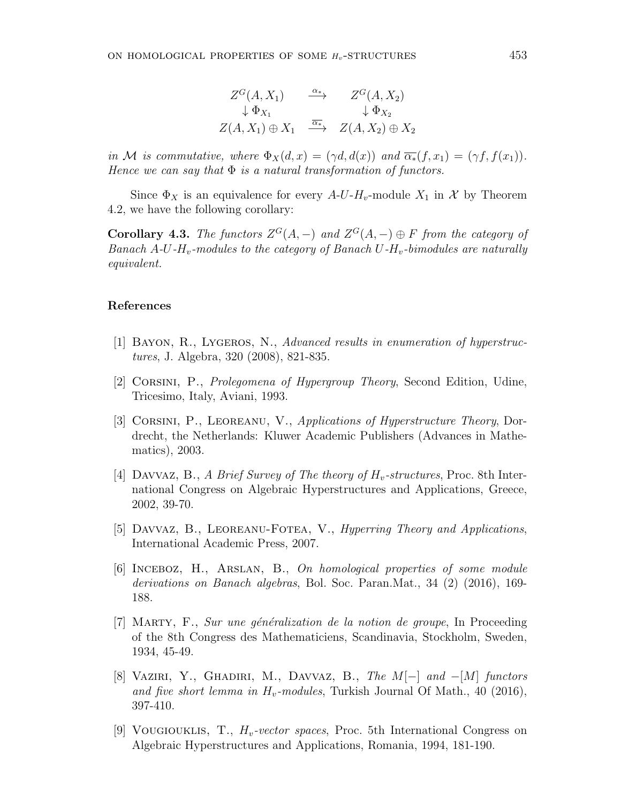$$
Z^G(A, X_1) \xrightarrow{\alpha_*} Z^G(A, X_2)
$$
  
\n
$$
\downarrow \Phi_{X_1} \qquad \downarrow \Phi_{X_2}
$$
  
\n
$$
Z(A, X_1) \oplus X_1 \xrightarrow{\overline{\alpha_*}} Z(A, X_2) \oplus X_2
$$

*in M is commutative, where*  $\Phi_X(d, x) = (\gamma d, d(x))$  *and*  $\overline{\alpha_*}(f, x_1) = (\gamma f, f(x_1))$ *. Hence we can say that* Φ *is a natural transformation of functors.*

Since  $\Phi_X$  is an equivalence for every  $A-U-H_v$ -module  $X_1$  in  $\mathcal X$  by Theorem 4.2, we have the following corollary:

**Corollary 4.3.** *The functors*  $Z^G(A, -)$  *and*  $Z^G(A, -) \oplus F$  *from the category of Banach A-U-Hv-modules to the category of Banach U-Hv-bimodules are naturally equivalent.*

### **References**

- [1] Bayon, R., Lygeros, N., *Advanced results in enumeration of hyperstructures*, J. Algebra, 320 (2008), 821-835.
- [2] Corsini, P., *Prolegomena of Hypergroup Theory*, Second Edition, Udine, Tricesimo, Italy, Aviani, 1993.
- [3] Corsini, P., Leoreanu, V., *Applications of Hyperstructure Theory*, Dordrecht, the Netherlands: Kluwer Academic Publishers (Advances in Mathematics), 2003.
- [4] Davvaz, B., *A Brief Survey of The theory of Hv-structures*, Proc. 8th International Congress on Algebraic Hyperstructures and Applications, Greece, 2002, 39-70.
- [5] Davvaz, B., Leoreanu-Fotea, V., *Hyperring Theory and Applications*, International Academic Press, 2007.
- [6] Inceboz, H., Arslan, B., *On homological properties of some module derivations on Banach algebras*, Bol. Soc. Paran.Mat., 34 (2) (2016), 169- 188.
- [7] Marty, F., *Sur une g´en´eralization de la notion de groupe*, In Proceeding of the 8th Congress des Mathematiciens, Scandinavia, Stockholm, Sweden, 1934, 45-49.
- [8] Vaziri, Y., Ghadiri, M., Davvaz, B., *The M*[*−*] *and −*[*M*] *functors and five short lemma in Hv-modules*, Turkish Journal Of Math., 40 (2016), 397-410.
- [9] Vougiouklis, T., *Hv-vector spaces*, Proc. 5th International Congress on Algebraic Hyperstructures and Applications, Romania, 1994, 181-190.